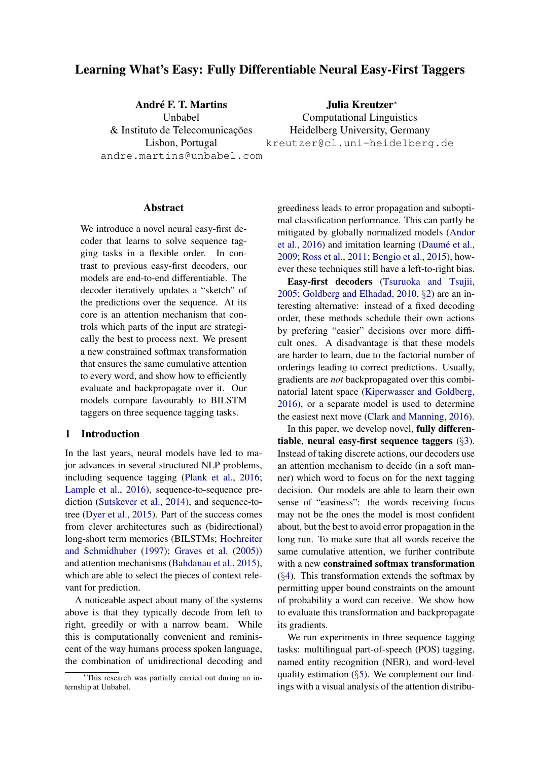# <span id="page-0-0"></span>Learning What's Easy: Fully Differentiable Neural Easy-First Taggers

André F. T. Martins Unbabel & Instituto de Telecomunicações Lisbon, Portugal andre.martins@unbabel.com

Julia Kreutzer<sup>∗</sup> Computational Linguistics Heidelberg University, Germany kreutzer@cl.uni-heidelberg.de

#### Abstract

We introduce a novel neural easy-first decoder that learns to solve sequence tagging tasks in a flexible order. In contrast to previous easy-first decoders, our models are end-to-end differentiable. The decoder iteratively updates a "sketch" of the predictions over the sequence. At its core is an attention mechanism that controls which parts of the input are strategically the best to process next. We present a new constrained softmax transformation that ensures the same cumulative attention to every word, and show how to efficiently evaluate and backpropagate over it. Our models compare favourably to BILSTM taggers on three sequence tagging tasks.

## 1 Introduction

In the last years, neural models have led to major advances in several structured NLP problems, including sequence tagging [\(Plank et al.,](#page-10-0) [2016;](#page-10-0) [Lample et al.,](#page-10-1) [2016\)](#page-10-1), sequence-to-sequence prediction [\(Sutskever et al.,](#page-11-0) [2014\)](#page-11-0), and sequence-totree [\(Dyer et al.,](#page-9-0) [2015\)](#page-9-0). Part of the success comes from clever architectures such as (bidirectional) long-short term memories (BILSTMs; [Hochreiter](#page-9-1) [and Schmidhuber](#page-9-1) [\(1997\)](#page-9-1); [Graves et al.](#page-9-2) [\(2005\)](#page-9-2)) and attention mechanisms [\(Bahdanau et al.,](#page-9-3) [2015\)](#page-9-3), which are able to select the pieces of context relevant for prediction.

A noticeable aspect about many of the systems above is that they typically decode from left to right, greedily or with a narrow beam. While this is computationally convenient and reminiscent of the way humans process spoken language, the combination of unidirectional decoding and

greediness leads to error propagation and suboptimal classification performance. This can partly be mitigated by globally normalized models [\(Andor](#page-9-4) [et al.,](#page-9-4) [2016\)](#page-9-4) and imitation learning (Daumé et al., [2009;](#page-9-5) [Ross et al.,](#page-10-2) [2011;](#page-10-2) [Bengio et al.,](#page-9-6) [2015\)](#page-9-6), however these techniques still have a left-to-right bias.

Easy-first decoders [\(Tsuruoka and Tsujii,](#page-11-1) [2005;](#page-11-1) [Goldberg and Elhadad,](#page-9-7) [2010,](#page-9-7) §[2\)](#page-1-0) are an interesting alternative: instead of a fixed decoding order, these methods schedule their own actions by prefering "easier" decisions over more difficult ones. A disadvantage is that these models are harder to learn, due to the factorial number of orderings leading to correct predictions. Usually, gradients are *not* backpropagated over this combinatorial latent space [\(Kiperwasser and Goldberg,](#page-9-8) [2016\)](#page-9-8), or a separate model is used to determine the easiest next move [\(Clark and Manning,](#page-9-9) [2016\)](#page-9-9).

In this paper, we develop novel, fully differentiable, neural easy-first sequence taggers (§[3\)](#page-1-1). Instead of taking discrete actions, our decoders use an attention mechanism to decide (in a soft manner) which word to focus on for the next tagging decision. Our models are able to learn their own sense of "easiness": the words receiving focus may not be the ones the model is most confident about, but the best to avoid error propagation in the long run. To make sure that all words receive the same cumulative attention, we further contribute with a new constrained softmax transformation  $(\S4)$  $(\S4)$ . This transformation extends the softmax by permitting upper bound constraints on the amount of probability a word can receive. We show how to evaluate this transformation and backpropagate its gradients.

We run experiments in three sequence tagging tasks: multilingual part-of-speech (POS) tagging, named entity recognition (NER), and word-level quality estimation (§[5\)](#page-4-0). We complement our findings with a visual analysis of the attention distribu-

<sup>∗</sup>This research was partially carried out during an internship at Unbabel.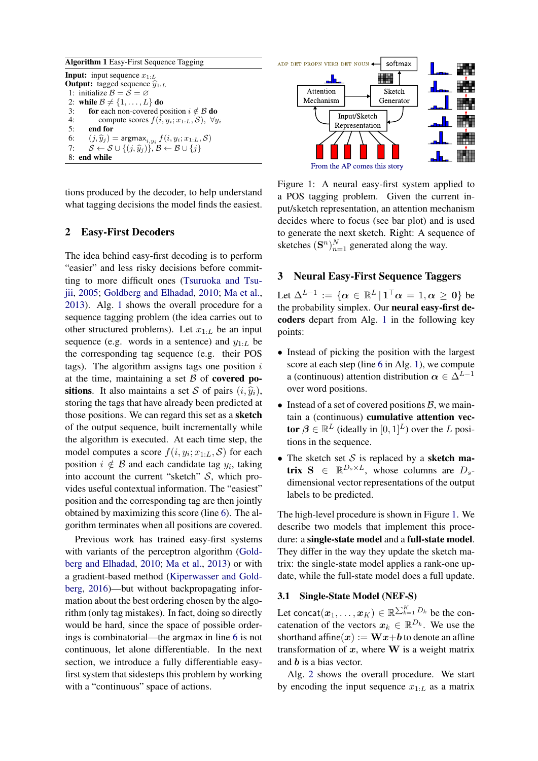<span id="page-1-5"></span><span id="page-1-3"></span><span id="page-1-2"></span>Algorithm 1 Easy-First Sequence Tagging **Input:** input sequence  $x_{1:L}$ **Output:** tagged sequence  $\widehat{y}_{1:L}$ 1: initialize  $\mathcal{B} = \mathcal{S} = \emptyset$ 2: while  $\mathcal{B} \neq \{1, \ldots, L\}$  do 3: for each non-covered position  $i \notin \mathcal{B}$  do 4: compute scores  $f(i, y_i; x_{1:L}, S)$ ,  $\forall y_i$ <br>5: **end for** 5: end for 6:  $(j, \widehat{y}_j) = \underset{\mathcal{S}}{\text{argmax}_{i, y_i}} f(i, y_i; x_{1:L}, \mathcal{S})$ 7:  $S \leftarrow S \cup \{(j, \hat{y}_j)\}, \mathcal{B} \leftarrow \mathcal{B} \cup \{j\}$ 8: end while

tions produced by the decoder, to help understand what tagging decisions the model finds the easiest.

### <span id="page-1-0"></span>2 Easy-First Decoders

The idea behind easy-first decoding is to perform "easier" and less risky decisions before committing to more difficult ones [\(Tsuruoka and Tsu](#page-11-1)[jii,](#page-11-1) [2005;](#page-11-1) [Goldberg and Elhadad,](#page-9-7) [2010;](#page-9-7) [Ma et al.,](#page-10-3) [2013\)](#page-10-3). Alg. [1](#page-1-2) shows the overall procedure for a sequence tagging problem (the idea carries out to other structured problems). Let  $x_{1:L}$  be an input sequence (e.g. words in a sentence) and  $y_{1:L}$  be the corresponding tag sequence (e.g. their POS tags). The algorithm assigns tags one position  $i$ at the time, maintaining a set  $\beta$  of covered positions. It also maintains a set S of pairs  $(i, \hat{y}_i)$ , storing the tags that have already been predicted at those positions. We can regard this set as a sketch of the output sequence, built incrementally while the algorithm is executed. At each time step, the model computes a score  $f(i, y_i; x_{1:L}, S)$  for each position  $i \notin \mathcal{B}$  and each candidate tag  $y_i$ , taking into account the current "sketch"  $S$ , which provides useful contextual information. The "easiest" position and the corresponding tag are then jointly obtained by maximizing this score (line [6\)](#page-1-3). The algorithm terminates when all positions are covered.

Previous work has trained easy-first systems with variants of the perceptron algorithm [\(Gold](#page-9-7)[berg and Elhadad,](#page-9-7) [2010;](#page-9-7) [Ma et al.,](#page-10-3) [2013\)](#page-10-3) or with a gradient-based method [\(Kiperwasser and Gold](#page-9-8)[berg,](#page-9-8) [2016\)](#page-9-8)—but without backpropagating information about the best ordering chosen by the algorithm (only tag mistakes). In fact, doing so directly would be hard, since the space of possible orderings is combinatorial—the argmax in line [6](#page-1-3) is not continuous, let alone differentiable. In the next section, we introduce a fully differentiable easyfirst system that sidesteps this problem by working with a "continuous" space of actions.

<span id="page-1-4"></span>

<span id="page-1-6"></span>Figure 1: A neural easy-first system applied to a POS tagging problem. Given the current input/sketch representation, an attention mechanism decides where to focus (see bar plot) and is used to generate the next sketch. Right: A sequence of sketches  $(\mathbf{S}^n)_{n=1}^N$  generated along the way.

## <span id="page-1-1"></span>3 Neural Easy-First Sequence Taggers

Let  $\Delta^{L-1} := \{ \alpha \in \mathbb{R}^L \, | \, \mathbb{1}^\top \alpha = 1, \alpha \geq 0 \}$  be the probability simplex. Our neural easy-first decoders depart from Alg. [1](#page-1-2) in the following key points:

- Instead of picking the position with the largest score at each step (line [6](#page-1-3) in Alg. [1\)](#page-1-2), we compute a (continuous) attention distribution  $\alpha \in \Delta^{L-1}$ over word positions.
- Instead of a set of covered positions  $\beta$ , we maintain a (continuous) cumulative attention vector  $\beta \in \mathbb{R}^L$  (ideally in  $[0, 1]^L$ ) over the L positions in the sequence.
- The sketch set  $S$  is replaced by a sketch matrix  $S \in \mathbb{R}^{D_s \times L}$ , whose columns are  $D_s$ dimensional vector representations of the output labels to be predicted.

The high-level procedure is shown in Figure [1.](#page-1-4) We describe two models that implement this procedure: a single-state model and a full-state model. They differ in the way they update the sketch matrix: the single-state model applies a rank-one update, while the full-state model does a full update.

### <span id="page-1-7"></span>3.1 Single-State Model (NEF-S)

Let concat $(x_1,\ldots,x_K)\in\mathbb{R}^{\sum_{k=1}^K D_k}$  be the concatenation of the vectors  $x_k \in \mathbb{R}^{D_k}$ . We use the shorthand affine $(x) := \mathbf{W}x + \mathbf{b}$  to denote an affine transformation of  $x$ , where  $W$  is a weight matrix and b is a bias vector.

Alg. [2](#page-2-0) shows the overall procedure. We start by encoding the input sequence  $x_{1:L}$  as a matrix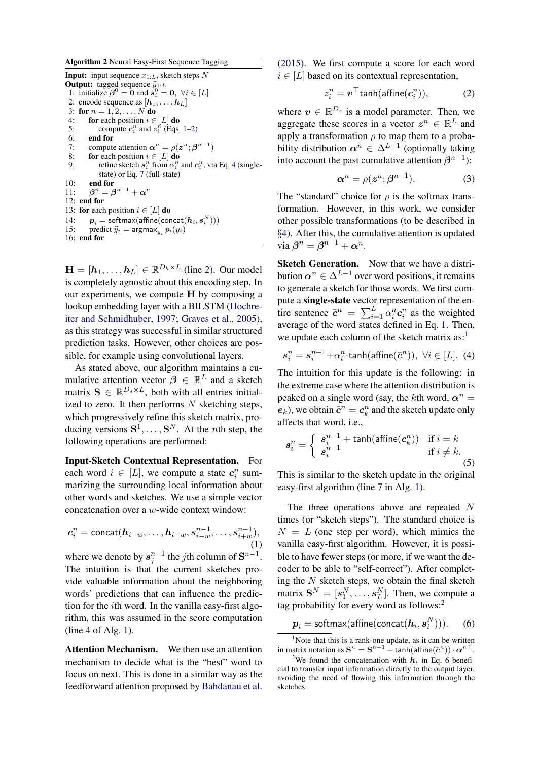<span id="page-2-8"></span><span id="page-2-0"></span>Algorithm 2 Neural Easy-First Sequence Tagging **Input:** input sequence  $x_{1:L}$ , sketch steps N **Output:** tagged sequence  $\widehat{y}_{1:L}$ 1: initialize  $\beta^0 = \mathbf{0}$  and  $\mathbf{s}_i^0 = \mathbf{0}$ ,  $\forall i \in [L]$ 2: encode sequence as  $[h_1, \ldots, h_L]$ 3: for  $n = 1, 2, ..., N$  do 4: **for** each position  $i \in [L]$  **do**<br>5: compute  $c_i^n$  and  $z_i^n$  (Eqs. 5: compute  $c_i^n$  and  $z_i^n$  (Eqs. [1](#page-2-1)[–2\)](#page-2-2) 6: end for 7: compute attention  $\alpha^n = \rho(z^n; \beta^{n-1})$ 8: **for** each position  $i \in [L]$  **do**<br>9: **for** effine sketch  $s_i^n$  from  $\alpha_i^n$ 9: refine sketch  $s_i^n$  from  $\alpha_i^n$  and  $c_i^n$ , via Eq. [4](#page-2-3) (singlestate) or Eq. [7](#page-3-1) (full-state) 10: end for 11:  $n^n = \boldsymbol{\beta}^{n-1} + \boldsymbol{\alpha}^n$ 12: end for 13: for each position  $i \in [L]$  do 14:  $\boldsymbol{p}_i = \text{softmax}(\text{affine}(\text{concat}(\boldsymbol{h}_i, \boldsymbol{s}_i^N)))$ 15: predict  $\hat{y}_i = \argmax_{y_i} p_i(y_i)$ <br>16: end for 16: end for

 $\mathbf{H} = [\mathbf{h}_1, \dots, \mathbf{h}_L] \in \mathbb{R}^{D_h \times L}$  (line [2\)](#page-2-4). Our model is completely agnostic about this encoding step. In our experiments, we compute H by composing a lookup embedding layer with a BILSTM [\(Hochre](#page-9-1)[iter and Schmidhuber,](#page-9-1) [1997;](#page-9-1) [Graves et al.,](#page-9-2) [2005\)](#page-9-2), as this strategy was successful in similar structured prediction tasks. However, other choices are possible, for example using convolutional layers.

As stated above, our algorithm maintains a cumulative attention vector  $\beta \in \mathbb{R}^L$  and a sketch matrix  $\mathbf{S} \in \mathbb{R}^{D_s \times L}$ , both with all entries initialized to zero. It then performs  $N$  sketching steps, which progressively refine this sketch matrix, producing versions  $S^1, \ldots, S^N$ . At the *n*th step, the following operations are performed:

Input-Sketch Contextual Representation. For each word  $i \in [L]$ , we compute a state  $c_i^n$  summarizing the surrounding local information about other words and sketches. We use a simple vector concatenation over a w-wide context window:

$$
c_i^n = \text{concat}(h_{i-w}, \dots, h_{i+w}, s_{i-w}^{n-1}, \dots, s_{i+w}^{n-1}),
$$

$$
(1)
$$

where we denote by  $s_j^{n-1}$  the *j*th column of  $S^{n-1}$ . The intuition is that the current sketches provide valuable information about the neighboring words' predictions that can influence the prediction for the ith word. In the vanilla easy-first algorithm, this was assumed in the score computation (line [4](#page-1-5) of Alg. [1\)](#page-1-2).

Attention Mechanism. We then use an attention mechanism to decide what is the "best" word to focus on next. This is done in a similar way as the feedforward attention proposed by [Bahdanau et al.](#page-9-3)

[\(2015\)](#page-9-3). We first compute a score for each word  $i \in [L]$  based on its contextual representation.

<span id="page-2-2"></span>
$$
z_i^n = \boldsymbol{v}^\top \textsf{tanh}(\textsf{affine}(\boldsymbol{c}_i^n)), \tag{2}
$$

<span id="page-2-4"></span>where  $v \in \mathbb{R}^{D_z}$  is a model parameter. Then, we aggregate these scores in a vector  $z^n \in \mathbb{R}^L$  and apply a transformation  $\rho$  to map them to a probability distribution  $\alpha^n \in \Delta^{L-1}$  (optionally taking into account the past cumulative attention  $\beta^{n-1}$ ):

<span id="page-2-7"></span>
$$
\alpha^n = \rho(z^n; \beta^{n-1}).\tag{3}
$$

The "standard" choice for  $\rho$  is the softmax transformation. However, in this work, we consider other possible transformations (to be described in §[4\)](#page-3-0). After this, the cumulative attention is updated via  $\boldsymbol{\beta}^n = \boldsymbol{\beta}^{n-1} + \boldsymbol{\alpha}^n$ .

Sketch Generation. Now that we have a distribution  $\alpha^n \in \Delta^{L-1}$  over word positions, it remains to generate a sketch for those words. We first compute a single-state vector representation of the entire sentence  $\bar{c}^n = \sum_{i=1}^L \alpha_i^n c_i^n$  as the weighted average of the word states defined in Eq. [1.](#page-2-1) Then, we update each column of the sketch matrix  $as<sup>1</sup>$  $as<sup>1</sup>$  $as<sup>1</sup>$ .

<span id="page-2-3"></span>
$$
\boldsymbol{s}_i^n = \boldsymbol{s}_i^{n-1} + \alpha_i^n \cdot \tanh(\text{affine}(\bar{\boldsymbol{c}}^n)), \ \forall i \in [L]. \ (4)
$$

The intuition for this update is the following: in the extreme case where the attention distribution is peaked on a single word (say, the kth word,  $\alpha^n =$  $e_k$ ), we obtain  $\bar{c}^n = c_k^n$  and the sketch update only affects that word, i.e.,

<span id="page-2-6"></span>
$$
s_i^n = \begin{cases} s_i^{n-1} + \tanh(\operatorname{affine}(c_k^n)) & \text{if } i = k\\ s_i^{n-1} & \text{if } i \neq k. \end{cases}
$$
 (5)

This is similar to the sketch update in the original easy-first algorithm (line [7](#page-1-6) in Alg. [1\)](#page-1-2).

<span id="page-2-1"></span>The three operations above are repeated N times (or "sketch steps"). The standard choice is  $N = L$  (one step per word), which mimics the vanilla easy-first algorithm. However, it is possible to have fewer steps (or more, if we want the decoder to be able to "self-correct"). After completing the  $N$  sketch steps, we obtain the final sketch matrix  $S^N = [s_1^N, \dots, s_L^N]$ . Then, we compute a tag probability for every word as follows:[2](#page-0-0)

<span id="page-2-5"></span>
$$
\boldsymbol{p}_i = \text{softmax}(\text{affine}(\text{concat}(\boldsymbol{h}_i, \boldsymbol{s}_i^N))). \hspace{15pt}(6)
$$

 $<sup>1</sup>$ Note that this is a rank-one update, as it can be written</sup> in matrix notation as  $S^n = S^{n-1} + \tanh(\text{affine}(\bar{c}^n)) \cdot \alpha^{n-1}$ .

<sup>&</sup>lt;sup>2</sup>We found the concatenation with  $h_i$  in Eq. [6](#page-2-5) beneficial to transfer input information directly to the output layer, avoiding the need of flowing this information through the sketches.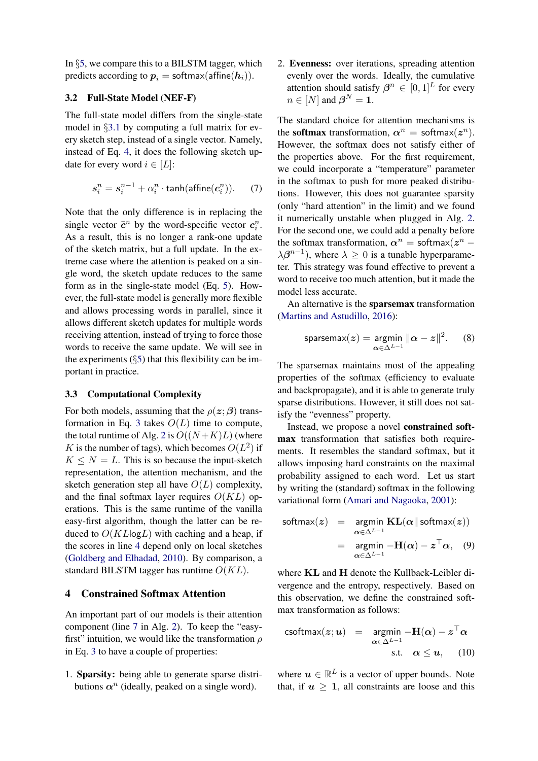In §[5,](#page-4-0) we compare this to a BILSTM tagger, which predicts according to  $p_i = \text{softmax}(\text{affine}(h_i)).$ 

### 3.2 Full-State Model (NEF-F)

The full-state model differs from the single-state model in §[3.1](#page-1-7) by computing a full matrix for every sketch step, instead of a single vector. Namely, instead of Eq. [4,](#page-2-3) it does the following sketch update for every word  $i \in [L]$ :

<span id="page-3-1"></span>
$$
s_i^n = s_i^{n-1} + \alpha_i^n \cdot \tanh(\text{affine}(c_i^n)). \tag{7}
$$

Note that the only difference is in replacing the single vector  $\bar{c}^n$  by the word-specific vector  $c_i^n$ . As a result, this is no longer a rank-one update of the sketch matrix, but a full update. In the extreme case where the attention is peaked on a single word, the sketch update reduces to the same form as in the single-state model (Eq. [5\)](#page-2-6). However, the full-state model is generally more flexible and allows processing words in parallel, since it allows different sketch updates for multiple words receiving attention, instead of trying to force those words to receive the same update. We will see in the experiments  $(\S 5)$  $(\S 5)$  that this flexibility can be important in practice.

### 3.3 Computational Complexity

For both models, assuming that the  $\rho(z;\beta)$  trans-formation in Eq. [3](#page-2-7) takes  $O(L)$  time to compute, the total runtime of Alg. [2](#page-2-0) is  $O((N+K)L)$  (where K is the number of tags), which becomes  $O(L^2)$  if  $K \leq N = L$ . This is so because the input-sketch representation, the attention mechanism, and the sketch generation step all have  $O(L)$  complexity, and the final softmax layer requires  $O(KL)$  operations. This is the same runtime of the vanilla easy-first algorithm, though the latter can be reduced to  $O(KL \log L)$  with caching and a heap, if the scores in line [4](#page-1-5) depend only on local sketches [\(Goldberg and Elhadad,](#page-9-7) [2010\)](#page-9-7). By comparison, a standard BILSTM tagger has runtime  $O(KL)$ .

### <span id="page-3-0"></span>4 Constrained Softmax Attention

An important part of our models is their attention component (line [7](#page-2-8) in Alg. [2\)](#page-2-0). To keep the "easyfirst" intuition, we would like the transformation  $\rho$ in Eq. [3](#page-2-7) to have a couple of properties:

1. Sparsity: being able to generate sparse distributions  $\alpha^n$  (ideally, peaked on a single word).

2. Evenness: over iterations, spreading attention evenly over the words. Ideally, the cumulative attention should satisfy  $\beta^n \in [0,1]^L$  for every  $n \in [N]$  and  $\boldsymbol{\beta}^N = \mathbf{1}.$ 

The standard choice for attention mechanisms is the softmax transformation,  $\alpha^n = \text{softmax}(z^n)$ . However, the softmax does not satisfy either of the properties above. For the first requirement, we could incorporate a "temperature" parameter in the softmax to push for more peaked distributions. However, this does not guarantee sparsity (only "hard attention" in the limit) and we found it numerically unstable when plugged in Alg. [2.](#page-2-0) For the second one, we could add a penalty before the softmax transformation,  $\alpha^n = \text{softmax}(z^n \lambda \beta^{n-1}$ ), where  $\lambda \geq 0$  is a tunable hyperparameter. This strategy was found effective to prevent a word to receive too much attention, but it made the model less accurate.

An alternative is the sparsemax transformation [\(Martins and Astudillo,](#page-10-4) [2016\)](#page-10-4):

$$
\text{sparsemax}(z) = \underset{\alpha \in \Delta^{L-1}}{\text{argmin}} \|\alpha - z\|^2. \qquad (8)
$$

The sparsemax maintains most of the appealing properties of the softmax (efficiency to evaluate and backpropagate), and it is able to generate truly sparse distributions. However, it still does not satisfy the "evenness" property.

Instead, we propose a novel constrained softmax transformation that satisfies both requirements. It resembles the standard softmax, but it allows imposing hard constraints on the maximal probability assigned to each word. Let us start by writing the (standard) softmax in the following variational form [\(Amari and Nagaoka,](#page-9-10) [2001\)](#page-9-10):

$$
\text{softmax}(\boldsymbol{z}) = \operatorname*{argmin}_{\boldsymbol{\alpha} \in \Delta^{L-1}} \mathbf{KL}(\boldsymbol{\alpha} \| \operatorname*{softmax}(\boldsymbol{z}))
$$
\n
$$
= \operatorname*{argmin}_{\boldsymbol{\alpha} \in \Delta^{L-1}} -\mathbf{H}(\boldsymbol{\alpha}) - \boldsymbol{z}^{\top} \boldsymbol{\alpha}, \quad (9)
$$

where KL and H denote the Kullback-Leibler divergence and the entropy, respectively. Based on this observation, we define the constrained softmax transformation as follows:

<span id="page-3-2"></span>csoftmax(z; u) = 
$$
\operatorname*{argmin}_{\alpha \in \Delta^{L-1}} -\mathbf{H}(\alpha) - z^{\top} \alpha
$$
  
s.t.  $\alpha \le u$ , (10)

where  $u \in \mathbb{R}^L$  is a vector of upper bounds. Note that, if  $u \geq 1$ , all constraints are loose and this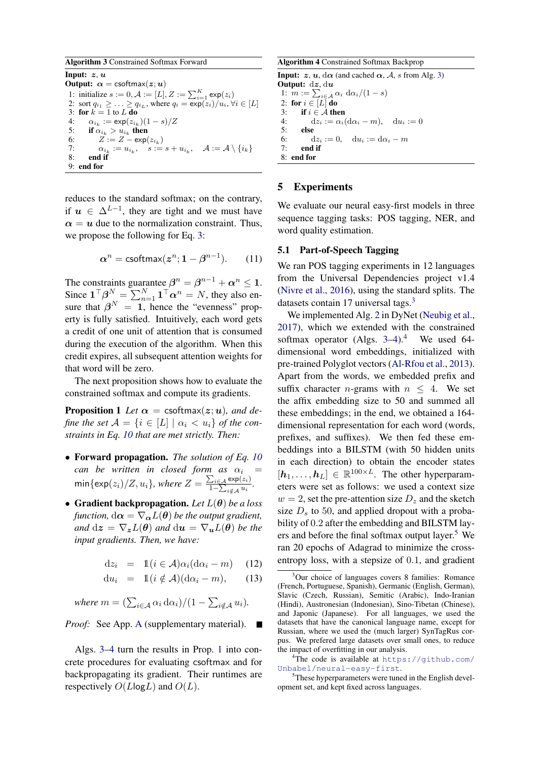<span id="page-4-1"></span>Algorithm 3 Constrained Softmax Forward Input:  $z, u$ Output:  $\alpha$  = csoftmax( $z; u$ ) 1: initialize  $s := 0, A := [L], Z := \sum_{i=1}^{K} \exp(z_i)$ 2: sort  $q_{i_1} \geq \ldots \geq q_{i_L}$ , where  $q_i = \exp(z_i)/u_i$ ,  $\forall i \in [L]$ 3: for  $k = 1$  to  $L$  do 4:  $\alpha_{i_k} := \exp(z_{i_k})(1-s)/Z$ 5: if  $\alpha_{i_k} > u_{i_k}$  then 6:  $Z := Z - \exp(z_{i_k})$ 7:  $\alpha_{i_k} := u_{i_k}, \quad s := s + u_{i_k}, \quad \mathcal{A} := \mathcal{A} \setminus \{i_k\}$ 8: end if 9: end for

reduces to the standard softmax; on the contrary, if  $u \in \Delta^{L-1}$ , they are tight and we must have  $\alpha = u$  due to the normalization constraint. Thus, we propose the following for Eq. [3:](#page-2-7)

$$
\alpha^n = \text{csoftmax}(\boldsymbol{z}^n; 1 - \boldsymbol{\beta}^{n-1}).\qquad(11)
$$

The constraints guarantee  $\beta^n = \beta^{n-1} + \alpha^n \le 1$ . Since  $\mathbf{1}^\top \boldsymbol{\beta}^N = \sum_{n=1}^N \mathbf{1}^\top \boldsymbol{\alpha}^n = N$ , they also ensure that  $\beta^N = 1$ , hence the "evenness" property is fully satisfied. Intuitively, each word gets a credit of one unit of attention that is consumed during the execution of the algorithm. When this credit expires, all subsequent attention weights for that word will be zero.

The next proposition shows how to evaluate the constrained softmax and compute its gradients.

**Proposition 1** Let  $\alpha = \text{csoftmax}(z; u)$ , and de*fine the set*  $\mathcal{A} = \{i \in [L] \mid \alpha_i < u_i\}$  *of the constraints in Eq. [10](#page-3-2) that are met strictly. Then:*

- Forward propagation. *The solution of Eq. [10](#page-3-2) can be written in closed form as*  $\alpha_i$  =  $\min{\{\exp(z_i)/Z, u_i\}}$ , where  $Z = \frac{\sum_{i \in A} \exp(z_i)}{1 - \sum_{i \in A} u_i}$  $\frac{\sum_{i\in\mathcal{A}} \exp(z_i)}{1-\sum_{i\notin\mathcal{A}} u_i}$ .
- Gradient backpropagation. *Let* L(θ) *be a loss function,*  $d\alpha = \nabla_{\alpha} L(\theta)$  *be the output gradient, and*  $dz = \nabla_z L(\theta)$  *and*  $du = \nabla_u L(\theta)$  *be the input gradients. Then, we have:*

$$
dz_i = \mathbb{1}(i \in \mathcal{A})\alpha_i(d\alpha_i - m) \quad (12)
$$

$$
du_i = \mathbb{1}(i \notin \mathcal{A})(d\alpha_i - m), \qquad (13)
$$

where 
$$
m = (\sum_{i \in \mathcal{A}} \alpha_i \, d\alpha_i)/(1 - \sum_{i \notin \mathcal{A}} u_i).
$$

*Proof:* See [A](#page-12-0)pp. A (supplementary material). ■

Algs. [3–](#page-4-1)[4](#page-4-2) turn the results in Prop. [1](#page-4-3) into concrete procedures for evaluating csoftmax and for backpropagating its gradient. Their runtimes are respectively  $O(L \log L)$  and  $O(L)$ .

<span id="page-4-2"></span>Algorithm 4 Constrained Softmax Backprop **Input:** z, u,  $d\alpha$  (and cached  $\alpha$ , A, s from Alg. [3\)](#page-4-1) Output: dz, du 1:  $m := \sum_{i \in \mathcal{A}} \alpha_i \, \mathrm{d}\alpha_i / (1 - s)$ 2: for  $i \in [L]$  do<br>3: if  $i \in A$  the if  $i \in \mathcal{A}$  then

4:  $dz_i := \alpha_i (d\alpha_i - m), \quad du_i := 0$ 5: else

6:  $dz_i := 0$ ,  $du_i := d\alpha_i - m$ 

7: end if 8: end for

# <span id="page-4-0"></span>5 Experiments

We evaluate our neural easy-first models in three sequence tagging tasks: POS tagging, NER, and word quality estimation.

### <span id="page-4-4"></span>5.1 Part-of-Speech Tagging

We ran POS tagging experiments in 12 languages from the Universal Dependencies project v1.4 [\(Nivre et al.,](#page-10-5) [2016\)](#page-10-5), using the standard splits. The datasets contain 17 universal tags.<sup>[3](#page-0-0)</sup>

<span id="page-4-3"></span>We implemented Alg. [2](#page-2-0) in DyNet [\(Neubig et al.,](#page-10-6) [2017\)](#page-10-6), which we extended with the constrained softmax operator (Algs.  $3-4$  $3-4$  $3-4$ ).<sup>4</sup> We used 64dimensional word embeddings, initialized with pre-trained Polyglot vectors [\(Al-Rfou et al.,](#page-9-11) [2013\)](#page-9-11). Apart from the words, we embedded prefix and suffix character *n*-grams with  $n \leq 4$ . We set the affix embedding size to 50 and summed all these embeddings; in the end, we obtained a 164 dimensional representation for each word (words, prefixes, and suffixes). We then fed these embeddings into a BILSTM (with 50 hidden units in each direction) to obtain the encoder states  $[h_1, \ldots, h_L] \in \mathbb{R}^{100 \times L}$ . The other hyperparameters were set as follows: we used a context size  $w = 2$ , set the pre-attention size  $D<sub>z</sub>$  and the sketch size  $D<sub>s</sub>$  to 50, and applied dropout with a probability of 0.2 after the embedding and BILSTM lay-ers and before the final softmax output layer.<sup>[5](#page-0-0)</sup> We ran 20 epochs of Adagrad to minimize the crossentropy loss, with a stepsize of 0.1, and gradient

<sup>&</sup>lt;sup>3</sup>Our choice of languages covers 8 families: Romance (French, Portuguese, Spanish), Germanic (English, German), Slavic (Czech, Russian), Semitic (Arabic), Indo-Iranian (Hindi), Austronesian (Indonesian), Sino-Tibetan (Chinese), and Japonic (Japanese). For all languages, we used the datasets that have the canonical language name, except for Russian, where we used the (much larger) SynTagRus corpus. We prefered large datasets over small ones, to reduce the impact of overfitting in our analysis.

<sup>&</sup>lt;sup>4</sup>The code is available at  $https://github.com/$ [Unbabel/neural-easy-first](https://github.com/Unbabel/neural-easy-first).

<sup>&</sup>lt;sup>5</sup>These hyperparameters were tuned in the English development set, and kept fixed across languages.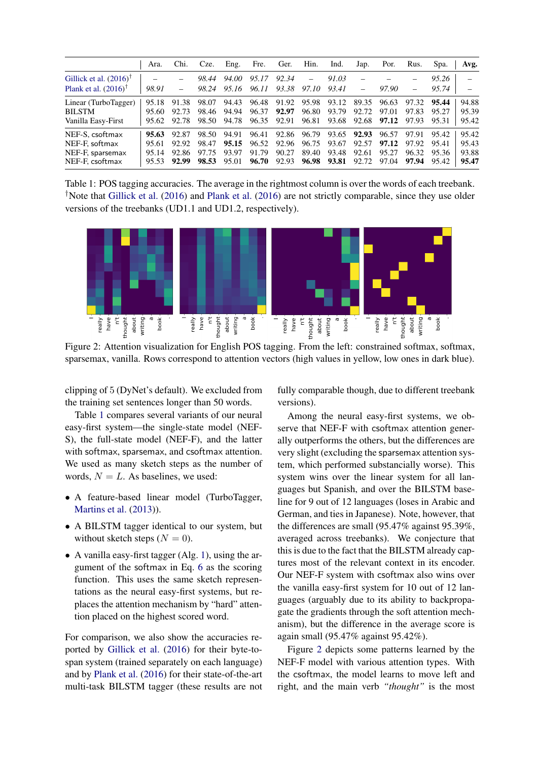<span id="page-5-0"></span>

|                                                                          | Ara.                             | Chi.                             | Cze.                                   | Eng.                    | Fre.                             | Ger.                    | Hin.                    | Ind.                                                     | Jap.                    | Por.                             | Rus.                             | Spa.                             | Avg.                             |
|--------------------------------------------------------------------------|----------------------------------|----------------------------------|----------------------------------------|-------------------------|----------------------------------|-------------------------|-------------------------|----------------------------------------------------------|-------------------------|----------------------------------|----------------------------------|----------------------------------|----------------------------------|
| Gillick et al. $(2016)^{\dagger}$                                        |                                  |                                  | 98.44                                  | 94.00                   | 95.17                            | 92.34                   | $\equiv$                | 91.03                                                    |                         |                                  |                                  | 95.26                            |                                  |
| Plank et al. $(2016)^T$                                                  | 98.91                            |                                  | 98.24                                  | 95.16                   | 96.11                            | 93.38                   | 97.10                   | 93.41                                                    | $\equiv$                | 97.90                            |                                  | 95.74                            |                                  |
| Linear (TurboTagger)<br><b>BILSTM</b><br>Vanilla Easy-First              | 95.18<br>95.60<br>95.62          | 91.38<br>92.73<br>92.78          | 98.07<br>98.46<br>98.50                | 94.43<br>94.94<br>94.78 | 96.48<br>96.37<br>96.35          | 91.92<br>92.97<br>92.91 | 95.98<br>96.80<br>96.81 | 93.12<br>93.79<br>93.68                                  | 89.35<br>92.72<br>92.68 | 96.63<br>97.01<br>97.12          | 97.32<br>97.83<br>97.93          | 95.44<br>95.27<br>95.31          | 94.88<br>95.39<br>95.42          |
| NEF-S. csoftmax<br>NEF-F. softmax<br>NEF-F, sparsemax<br>NEF-F. csoftmax | 95.63<br>95.61<br>95.14<br>95.53 | 92.87<br>92.92<br>92.86<br>92.99 | 98.50<br>98.47<br>97.75<br>98.53 95.01 | 94.91<br>95.15<br>93.97 | 96.41<br>96.52<br>91.79<br>96.70 | 92.96<br>90.27<br>92.93 | 89.40<br>96.98          | 92.86 96.79 93.65 92.93<br>96.75 93.67<br>93.48<br>93.81 | 92.57<br>92.61<br>92.72 | 96.57<br>97.12<br>95.27<br>97.04 | 97.91<br>97.92<br>96.32<br>97.94 | 95.42<br>95.41<br>95.36<br>95.42 | 95.42<br>95.43<br>93.88<br>95.47 |

Table 1: POS tagging accuracies. The average in the rightmost column is over the words of each treebank. †Note that [Gillick et al.](#page-9-12) [\(2016\)](#page-9-12) and [Plank et al.](#page-10-0) [\(2016\)](#page-10-0) are not strictly comparable, since they use older versions of the treebanks (UD1.1 and UD1.2, respectively).

<span id="page-5-1"></span>

Figure 2: Attention visualization for English POS tagging. From the left: constrained softmax, softmax, sparsemax, vanilla. Rows correspond to attention vectors (high values in yellow, low ones in dark blue).

clipping of 5 (DyNet's default). We excluded from the training set sentences longer than 50 words.

Table [1](#page-5-0) compares several variants of our neural easy-first system—the single-state model (NEF-S), the full-state model (NEF-F), and the latter with softmax, sparsemax, and csoftmax attention. We used as many sketch steps as the number of words,  $N = L$ . As baselines, we used:

- A feature-based linear model (TurboTagger, [Martins et al.](#page-10-7) [\(2013\)](#page-10-7)).
- A BILSTM tagger identical to our system, but without sketch steps  $(N = 0)$ .
- A vanilla easy-first tagger (Alg. [1\)](#page-1-2), using the argument of the softmax in Eq. [6](#page-2-5) as the scoring function. This uses the same sketch representations as the neural easy-first systems, but replaces the attention mechanism by "hard" attention placed on the highest scored word.

For comparison, we also show the accuracies reported by [Gillick et al.](#page-9-12) [\(2016\)](#page-9-12) for their byte-tospan system (trained separately on each language) and by [Plank et al.](#page-10-0) [\(2016\)](#page-10-0) for their state-of-the-art multi-task BILSTM tagger (these results are not fully comparable though, due to different treebank versions).

Among the neural easy-first systems, we observe that NEF-F with csoftmax attention generally outperforms the others, but the differences are very slight (excluding the sparsemax attention system, which performed substancially worse). This system wins over the linear system for all languages but Spanish, and over the BILSTM baseline for 9 out of 12 languages (loses in Arabic and German, and ties in Japanese). Note, however, that the differences are small (95.47% against 95.39%, averaged across treebanks). We conjecture that this is due to the fact that the BILSTM already captures most of the relevant context in its encoder. Our NEF-F system with csoftmax also wins over the vanilla easy-first system for 10 out of 12 languages (arguably due to its ability to backpropagate the gradients through the soft attention mechanism), but the difference in the average score is again small (95.47% against 95.42%).

Figure [2](#page-5-1) depicts some patterns learned by the NEF-F model with various attention types. With the csoftmax, the model learns to move left and right, and the main verb *"thought"* is the most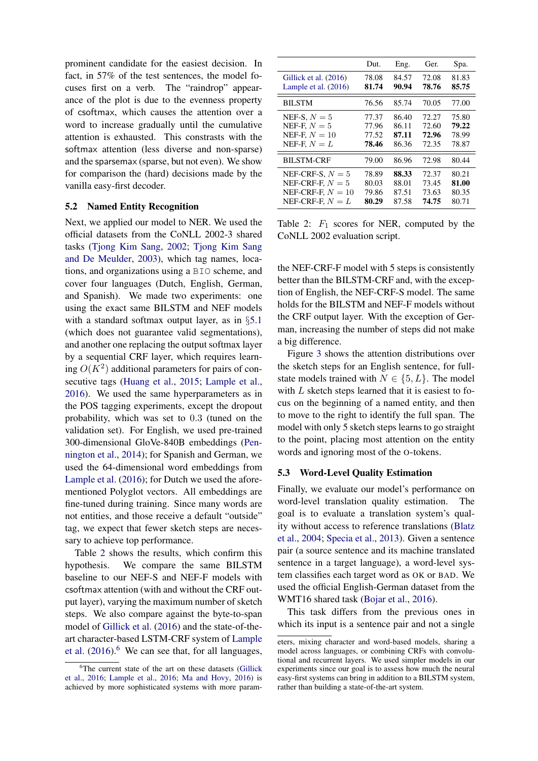prominent candidate for the easiest decision. In fact, in 57% of the test sentences, the model focuses first on a verb. The "raindrop" appearance of the plot is due to the evenness property of csoftmax, which causes the attention over a word to increase gradually until the cumulative attention is exhausted. This constrasts with the softmax attention (less diverse and non-sparse) and the sparsemax (sparse, but not even). We show for comparison the (hard) decisions made by the vanilla easy-first decoder.

## 5.2 Named Entity Recognition

Next, we applied our model to NER. We used the official datasets from the CoNLL 2002-3 shared tasks [\(Tjong Kim Sang,](#page-11-2) [2002;](#page-11-2) [Tjong Kim Sang](#page-11-3) [and De Meulder,](#page-11-3) [2003\)](#page-11-3), which tag names, locations, and organizations using a BIO scheme, and cover four languages (Dutch, English, German, and Spanish). We made two experiments: one using the exact same BILSTM and NEF models with a standard softmax output layer, as in §[5.1](#page-4-4) (which does not guarantee valid segmentations), and another one replacing the output softmax layer by a sequential CRF layer, which requires learning  $O(K^2)$  additional parameters for pairs of consecutive tags [\(Huang et al.,](#page-9-13) [2015;](#page-9-13) [Lample et al.,](#page-10-1) [2016\)](#page-10-1). We used the same hyperparameters as in the POS tagging experiments, except the dropout probability, which was set to 0.3 (tuned on the validation set). For English, we used pre-trained 300-dimensional GloVe-840B embeddings [\(Pen](#page-10-8)[nington et al.,](#page-10-8) [2014\)](#page-10-8); for Spanish and German, we used the 64-dimensional word embeddings from [Lample et al.](#page-10-1) [\(2016\)](#page-10-1); for Dutch we used the aforementioned Polyglot vectors. All embeddings are fine-tuned during training. Since many words are not entities, and those receive a default "outside" tag, we expect that fewer sketch steps are necessary to achieve top performance.

Table [2](#page-6-0) shows the results, which confirm this hypothesis. We compare the same BILSTM baseline to our NEF-S and NEF-F models with csoftmax attention (with and without the CRF output layer), varying the maximum number of sketch steps. We also compare against the byte-to-span model of [Gillick et al.](#page-9-12) [\(2016\)](#page-9-12) and the state-of-theart character-based LSTM-CRF system of [Lample](#page-10-1) [et al.](#page-10-1)  $(2016)$ <sup>[6](#page-0-0)</sup> We can see that, for all languages,

<span id="page-6-0"></span>

|                        | Dut.  | Eng.  | Ger.  | Spa.  |
|------------------------|-------|-------|-------|-------|
| Gillick et al. (2016)  | 78.08 | 84.57 | 72.08 | 81.83 |
| Lample et al. $(2016)$ | 81.74 | 90.94 | 78.76 | 85.75 |
| <b>BILSTM</b>          | 76.56 | 85.74 | 70.05 | 77.00 |
| NEF-S, $N=5$           | 77.37 | 86.40 | 72.27 | 75.80 |
| NEF-F, $N=5$           | 77.96 | 86.11 | 72.60 | 79.22 |
| NEF-F, $N=10$          | 77.52 | 87.11 | 72.96 | 78.99 |
| NEF-F, $N = L$         | 78.46 | 86.36 | 72.35 | 78.87 |
| <b>BILSTM-CRF</b>      | 79.00 | 86.96 | 72.98 | 80.44 |
| NEF-CRF-S, $N=5$       | 78.89 | 88.33 | 72.37 | 80.21 |
| NEF-CRF-F, $N=5$       | 80.03 | 88.01 | 73.45 | 81.00 |
| NEF-CRF-F, $N = 10$    | 79.86 | 87.51 | 73.63 | 80.35 |
| NEF-CRF-F, $N = L$     | 80.29 | 87.58 | 74.75 | 80.71 |

Table 2:  $F_1$  scores for NER, computed by the CoNLL 2002 evaluation script.

the NEF-CRF-F model with 5 steps is consistently better than the BILSTM-CRF and, with the exception of English, the NEF-CRF-S model. The same holds for the BILSTM and NEF-F models without the CRF output layer. With the exception of German, increasing the number of steps did not make a big difference.

Figure [3](#page-7-0) shows the attention distributions over the sketch steps for an English sentence, for fullstate models trained with  $N \in \{5, L\}$ . The model with  $L$  sketch steps learned that it is easiest to focus on the beginning of a named entity, and then to move to the right to identify the full span. The model with only 5 sketch steps learns to go straight to the point, placing most attention on the entity words and ignoring most of the O-tokens.

#### 5.3 Word-Level Quality Estimation

Finally, we evaluate our model's performance on word-level translation quality estimation. goal is to evaluate a translation system's quality without access to reference translations [\(Blatz](#page-9-14) [et al.,](#page-9-14) [2004;](#page-9-14) [Specia et al.,](#page-11-4) [2013\)](#page-11-4). Given a sentence pair (a source sentence and its machine translated sentence in a target language), a word-level system classifies each target word as OK or BAD. We used the official English-German dataset from the WMT16 shared task [\(Bojar et al.,](#page-9-15) [2016\)](#page-9-15).

This task differs from the previous ones in which its input is a sentence pair and not a single

<sup>&</sup>lt;sup>6</sup>The current state of the art on these datasets [\(Gillick](#page-9-12) [et al.,](#page-9-12) [2016;](#page-9-12) [Lample et al.,](#page-10-1) [2016;](#page-10-1) [Ma and Hovy,](#page-10-9) [2016\)](#page-10-9) is achieved by more sophisticated systems with more param-

eters, mixing character and word-based models, sharing a model across languages, or combining CRFs with convolutional and recurrent layers. We used simpler models in our experiments since our goal is to assess how much the neural easy-first systems can bring in addition to a BILSTM system, rather than building a state-of-the-art system.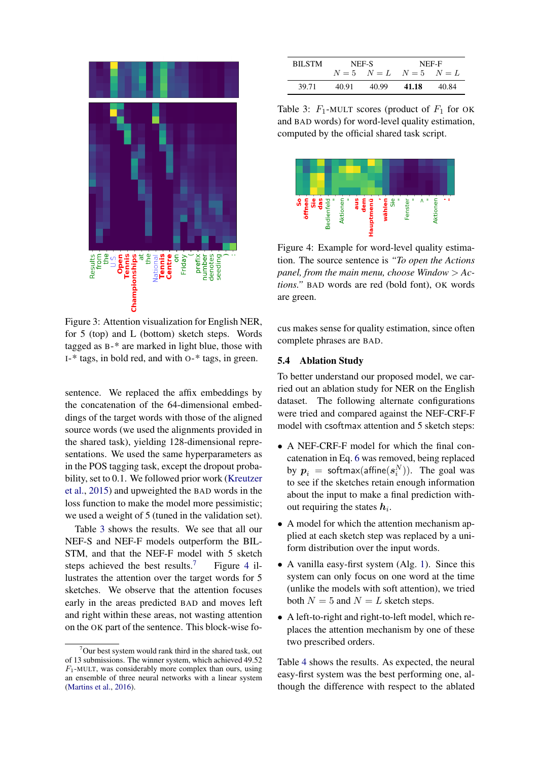<span id="page-7-0"></span>

Figure 3: Attention visualization for English NER, for 5 (top) and L (bottom) sketch steps. Words tagged as B-\* are marked in light blue, those with I-\* tags, in bold red, and with O-\* tags, in green.

sentence. We replaced the affix embeddings by the concatenation of the 64-dimensional embeddings of the target words with those of the aligned source words (we used the alignments provided in the shared task), yielding 128-dimensional representations. We used the same hyperparameters as in the POS tagging task, except the dropout probability, set to 0.1. We followed prior work [\(Kreutzer](#page-9-16) [et al.,](#page-9-16) [2015\)](#page-9-16) and upweighted the BAD words in the loss function to make the model more pessimistic; we used a weight of 5 (tuned in the validation set).

Table [3](#page-7-1) shows the results. We see that all our NEF-S and NEF-F models outperform the BIL-STM, and that the NEF-F model with 5 sketch steps achieved the best results.<sup>[7](#page-0-0)</sup> Figure [4](#page-7-2) illustrates the attention over the target words for 5 sketches. We observe that the attention focuses early in the areas predicted BAD and moves left and right within these areas, not wasting attention on the OK part of the sentence. This block-wise fo-

<span id="page-7-1"></span>

| <b>BILSTM</b> |       | NEF-S                   | NEF-F |       |  |  |
|---------------|-------|-------------------------|-------|-------|--|--|
|               |       | $N=5$ $N=L$ $N=5$ $N=L$ |       |       |  |  |
| 39.71         | 40.91 | 40.99                   | 41.18 | 40.84 |  |  |

Table 3:  $F_1$ -MULT scores (product of  $F_1$  for OK and BAD words) for word-level quality estimation, computed by the official shared task script.

<span id="page-7-2"></span>

Figure 4: Example for word-level quality estimation. The source sentence is *"To open the Actions panel, from the main menu, choose Window* > *Actions."* BAD words are red (bold font), OK words are green.

cus makes sense for quality estimation, since often complete phrases are BAD.

### 5.4 Ablation Study

To better understand our proposed model, we carried out an ablation study for NER on the English dataset. The following alternate configurations were tried and compared against the NEF-CRF-F model with csoftmax attention and 5 sketch steps:

- A NEF-CRF-F model for which the final concatenation in Eq. [6](#page-2-5) was removed, being replaced by  $\boldsymbol{p}_i$  = softmax(affine $(\boldsymbol{s}_i^N)$ ). The goal was to see if the sketches retain enough information about the input to make a final prediction without requiring the states  $h_i$ .
- A model for which the attention mechanism applied at each sketch step was replaced by a uniform distribution over the input words.
- A vanilla easy-first system (Alg. [1\)](#page-1-2). Since this system can only focus on one word at the time (unlike the models with soft attention), we tried both  $N = 5$  and  $N = L$  sketch steps.
- A left-to-right and right-to-left model, which replaces the attention mechanism by one of these two prescribed orders.

Table [4](#page-8-0) shows the results. As expected, the neural easy-first system was the best performing one, although the difference with respect to the ablated

 $7$ Our best system would rank third in the shared task, out of 13 submissions. The winner system, which achieved 49.52  $F_1$ -MULT, was considerably more complex than ours, using an ensemble of three neural networks with a linear system [\(Martins et al.,](#page-10-10) [2016\)](#page-10-10).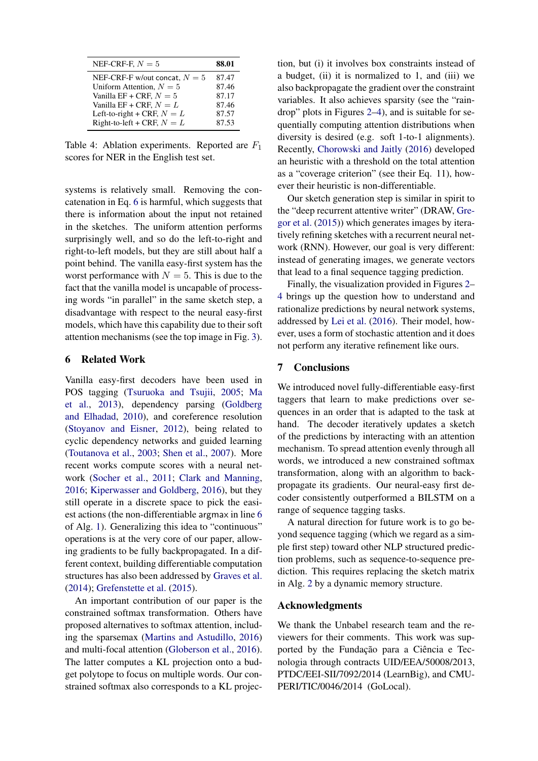<span id="page-8-0"></span>

| NEF-CRF-F, $N=5$                | 88.01 |
|---------------------------------|-------|
| NEF-CRF-F w/out concat, $N = 5$ | 87.47 |
| Uniform Attention, $N = 5$      | 87.46 |
| Vanilla EF + CRF, $N = 5$       | 87.17 |
| Vanilla EF + CRF, $N = L$       | 87.46 |
| Left-to-right + CRF, $N = L$    | 87.57 |
| Right-to-left + CRF, $N = L$    | 87.53 |

Table 4: Ablation experiments. Reported are  $F_1$ scores for NER in the English test set.

systems is relatively small. Removing the concatenation in Eq. [6](#page-2-5) is harmful, which suggests that there is information about the input not retained in the sketches. The uniform attention performs surprisingly well, and so do the left-to-right and right-to-left models, but they are still about half a point behind. The vanilla easy-first system has the worst performance with  $N = 5$ . This is due to the fact that the vanilla model is uncapable of processing words "in parallel" in the same sketch step, a disadvantage with respect to the neural easy-first models, which have this capability due to their soft attention mechanisms (see the top image in Fig. [3\)](#page-7-0).

## 6 Related Work

Vanilla easy-first decoders have been used in POS tagging [\(Tsuruoka and Tsujii,](#page-11-1) [2005;](#page-11-1) [Ma](#page-10-3) [et al.,](#page-10-3) [2013\)](#page-10-3), dependency parsing [\(Goldberg](#page-9-7) [and Elhadad,](#page-9-7) [2010\)](#page-9-7), and coreference resolution [\(Stoyanov and Eisner,](#page-11-5) [2012\)](#page-11-5), being related to cyclic dependency networks and guided learning [\(Toutanova et al.,](#page-11-6) [2003;](#page-11-6) [Shen et al.,](#page-10-11) [2007\)](#page-10-11). More recent works compute scores with a neural network [\(Socher et al.,](#page-10-12) [2011;](#page-10-12) [Clark and Manning,](#page-9-9) [2016;](#page-9-9) [Kiperwasser and Goldberg,](#page-9-8) [2016\)](#page-9-8), but they still operate in a discrete space to pick the easiest actions (the non-differentiable argmax in line [6](#page-1-3) of Alg. [1\)](#page-1-2). Generalizing this idea to "continuous" operations is at the very core of our paper, allowing gradients to be fully backpropagated. In a different context, building differentiable computation structures has also been addressed by [Graves et al.](#page-9-17) [\(2014\)](#page-9-17); [Grefenstette et al.](#page-9-18) [\(2015\)](#page-9-18).

An important contribution of our paper is the constrained softmax transformation. Others have proposed alternatives to softmax attention, including the sparsemax [\(Martins and Astudillo,](#page-10-4) [2016\)](#page-10-4) and multi-focal attention [\(Globerson et al.,](#page-9-19) [2016\)](#page-9-19). The latter computes a KL projection onto a budget polytope to focus on multiple words. Our constrained softmax also corresponds to a KL projection, but (i) it involves box constraints instead of a budget, (ii) it is normalized to 1, and (iii) we also backpropagate the gradient over the constraint variables. It also achieves sparsity (see the "raindrop" plots in Figures [2](#page-5-1)[–4\)](#page-7-2), and is suitable for sequentially computing attention distributions when diversity is desired (e.g. soft 1-to-1 alignments). Recently, [Chorowski and Jaitly](#page-9-20) [\(2016\)](#page-9-20) developed an heuristic with a threshold on the total attention as a "coverage criterion" (see their Eq. 11), however their heuristic is non-differentiable.

Our sketch generation step is similar in spirit to the "deep recurrent attentive writer" (DRAW, [Gre](#page-9-21)[gor et al.](#page-9-21) [\(2015\)](#page-9-21)) which generates images by iteratively refining sketches with a recurrent neural network (RNN). However, our goal is very different: instead of generating images, we generate vectors that lead to a final sequence tagging prediction.

Finally, the visualization provided in Figures [2–](#page-5-1) [4](#page-7-2) brings up the question how to understand and rationalize predictions by neural network systems, addressed by [Lei et al.](#page-10-13) [\(2016\)](#page-10-13). Their model, however, uses a form of stochastic attention and it does not perform any iterative refinement like ours.

### 7 Conclusions

We introduced novel fully-differentiable easy-first taggers that learn to make predictions over sequences in an order that is adapted to the task at hand. The decoder iteratively updates a sketch of the predictions by interacting with an attention mechanism. To spread attention evenly through all words, we introduced a new constrained softmax transformation, along with an algorithm to backpropagate its gradients. Our neural-easy first decoder consistently outperformed a BILSTM on a range of sequence tagging tasks.

A natural direction for future work is to go beyond sequence tagging (which we regard as a simple first step) toward other NLP structured prediction problems, such as sequence-to-sequence prediction. This requires replacing the sketch matrix in Alg. [2](#page-2-0) by a dynamic memory structure.

#### Acknowledgments

We thank the Unbabel research team and the reviewers for their comments. This work was supported by the Fundação para a Ciência e Tecnologia through contracts UID/EEA/50008/2013, PTDC/EEI-SII/7092/2014 (LearnBig), and CMU-PERI/TIC/0046/2014 (GoLocal).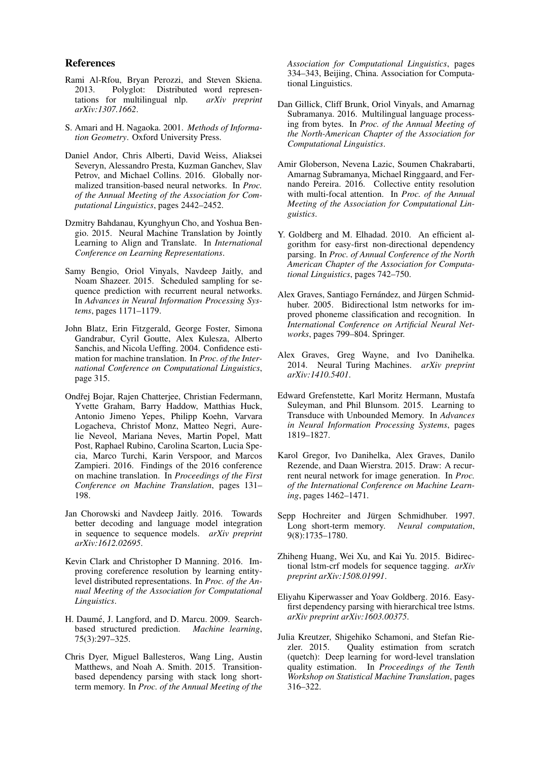### References

- <span id="page-9-11"></span>Rami Al-Rfou, Bryan Perozzi, and Steven Skiena. 2013. Polyglot: Distributed word representations for multilingual nlp.  $arXiv$  preprint tations for multilingual nlp. *arXiv:1307.1662*.
- <span id="page-9-10"></span>S. Amari and H. Nagaoka. 2001. *Methods of Information Geometry*. Oxford University Press.
- <span id="page-9-4"></span>Daniel Andor, Chris Alberti, David Weiss, Aliaksei Severyn, Alessandro Presta, Kuzman Ganchev, Slav Petrov, and Michael Collins. 2016. Globally normalized transition-based neural networks. In *Proc. of the Annual Meeting of the Association for Computational Linguistics*, pages 2442–2452.
- <span id="page-9-3"></span>Dzmitry Bahdanau, Kyunghyun Cho, and Yoshua Bengio. 2015. Neural Machine Translation by Jointly Learning to Align and Translate. In *International Conference on Learning Representations*.
- <span id="page-9-6"></span>Samy Bengio, Oriol Vinyals, Navdeep Jaitly, and Noam Shazeer. 2015. Scheduled sampling for sequence prediction with recurrent neural networks. In *Advances in Neural Information Processing Systems*, pages 1171–1179.
- <span id="page-9-14"></span>John Blatz, Erin Fitzgerald, George Foster, Simona Gandrabur, Cyril Goutte, Alex Kulesza, Alberto Sanchis, and Nicola Ueffing. 2004. Confidence estimation for machine translation. In *Proc. of the International Conference on Computational Linguistics*, page 315.
- <span id="page-9-15"></span>Ondřej Bojar, Rajen Chatterjee, Christian Federmann, Yvette Graham, Barry Haddow, Matthias Huck, Antonio Jimeno Yepes, Philipp Koehn, Varvara Logacheva, Christof Monz, Matteo Negri, Aurelie Neveol, Mariana Neves, Martin Popel, Matt Post, Raphael Rubino, Carolina Scarton, Lucia Specia, Marco Turchi, Karin Verspoor, and Marcos Zampieri. 2016. Findings of the 2016 conference on machine translation. In *Proceedings of the First Conference on Machine Translation*, pages 131– 198.
- <span id="page-9-20"></span>Jan Chorowski and Navdeep Jaitly. 2016. Towards better decoding and language model integration in sequence to sequence models. *arXiv preprint arXiv:1612.02695*.
- <span id="page-9-9"></span>Kevin Clark and Christopher D Manning. 2016. Improving coreference resolution by learning entitylevel distributed representations. In *Proc. of the Annual Meeting of the Association for Computational Linguistics*.
- <span id="page-9-5"></span>H. Daumé, J. Langford, and D. Marcu. 2009. Searchbased structured prediction. *Machine learning*, 75(3):297–325.
- <span id="page-9-0"></span>Chris Dyer, Miguel Ballesteros, Wang Ling, Austin Matthews, and Noah A. Smith. 2015. Transitionbased dependency parsing with stack long shortterm memory. In *Proc. of the Annual Meeting of the*

*Association for Computational Linguistics*, pages 334–343, Beijing, China. Association for Computational Linguistics.

- <span id="page-9-12"></span>Dan Gillick, Cliff Brunk, Oriol Vinyals, and Amarnag Subramanya. 2016. Multilingual language processing from bytes. In *Proc. of the Annual Meeting of the North-American Chapter of the Association for Computational Linguistics*.
- <span id="page-9-19"></span>Amir Globerson, Nevena Lazic, Soumen Chakrabarti, Amarnag Subramanya, Michael Ringgaard, and Fernando Pereira. 2016. Collective entity resolution with multi-focal attention. In *Proc. of the Annual Meeting of the Association for Computational Linguistics*.
- <span id="page-9-7"></span>Y. Goldberg and M. Elhadad. 2010. An efficient algorithm for easy-first non-directional dependency parsing. In *Proc. of Annual Conference of the North American Chapter of the Association for Computational Linguistics*, pages 742–750.
- <span id="page-9-2"></span>Alex Graves, Santiago Fernández, and Jürgen Schmidhuber. 2005. Bidirectional lstm networks for improved phoneme classification and recognition. In *International Conference on Artificial Neural Networks*, pages 799–804. Springer.
- <span id="page-9-17"></span>Alex Graves, Greg Wayne, and Ivo Danihelka. 2014. Neural Turing Machines. *arXiv preprint arXiv:1410.5401*.
- <span id="page-9-18"></span>Edward Grefenstette, Karl Moritz Hermann, Mustafa Suleyman, and Phil Blunsom. 2015. Learning to Transduce with Unbounded Memory. In *Advances in Neural Information Processing Systems*, pages 1819–1827.
- <span id="page-9-21"></span>Karol Gregor, Ivo Danihelka, Alex Graves, Danilo Rezende, and Daan Wierstra. 2015. Draw: A recurrent neural network for image generation. In *Proc. of the International Conference on Machine Learning*, pages 1462–1471.
- <span id="page-9-1"></span>Sepp Hochreiter and Jürgen Schmidhuber. 1997. Long short-term memory. *Neural computation*, 9(8):1735–1780.
- <span id="page-9-13"></span>Zhiheng Huang, Wei Xu, and Kai Yu. 2015. Bidirectional lstm-crf models for sequence tagging. *arXiv preprint arXiv:1508.01991*.
- <span id="page-9-8"></span>Eliyahu Kiperwasser and Yoav Goldberg. 2016. Easyfirst dependency parsing with hierarchical tree lstms. *arXiv preprint arXiv:1603.00375*.
- <span id="page-9-16"></span>Julia Kreutzer, Shigehiko Schamoni, and Stefan Riezler. 2015. Quality estimation from scratch (quetch): Deep learning for word-level translation quality estimation. In *Proceedings of the Tenth Workshop on Statistical Machine Translation*, pages 316–322.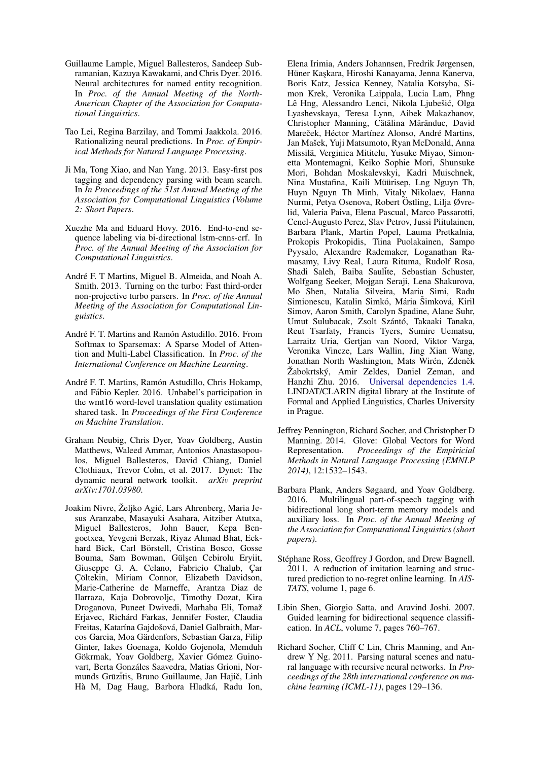- <span id="page-10-1"></span>Guillaume Lample, Miguel Ballesteros, Sandeep Subramanian, Kazuya Kawakami, and Chris Dyer. 2016. Neural architectures for named entity recognition. In *Proc. of the Annual Meeting of the North-American Chapter of the Association for Computational Linguistics*.
- <span id="page-10-13"></span>Tao Lei, Regina Barzilay, and Tommi Jaakkola. 2016. Rationalizing neural predictions. In *Proc. of Empirical Methods for Natural Language Processing*.
- <span id="page-10-3"></span>Ji Ma, Tong Xiao, and Nan Yang. 2013. Easy-first pos tagging and dependency parsing with beam search. In *In Proceedings of the 51st Annual Meeting of the Association for Computational Linguistics (Volume 2: Short Papers*.
- <span id="page-10-9"></span>Xuezhe Ma and Eduard Hovy. 2016. End-to-end sequence labeling via bi-directional lstm-cnns-crf. In *Proc. of the Annual Meeting of the Association for Computational Linguistics*.
- <span id="page-10-7"></span>André F. T Martins, Miguel B. Almeida, and Noah A. Smith. 2013. Turning on the turbo: Fast third-order non-projective turbo parsers. In *Proc. of the Annual Meeting of the Association for Computational Linguistics*.
- <span id="page-10-4"></span>André F. T. Martins and Ramón Astudillo. 2016. From Softmax to Sparsemax: A Sparse Model of Attention and Multi-Label Classification. In *Proc. of the International Conference on Machine Learning*.
- <span id="page-10-10"></span>André F. T. Martins, Ramón Astudillo, Chris Hokamp, and Fabio Kepler. 2016. Unbabel's participation in ´ the wmt16 word-level translation quality estimation shared task. In *Proceedings of the First Conference on Machine Translation*.
- <span id="page-10-6"></span>Graham Neubig, Chris Dyer, Yoav Goldberg, Austin Matthews, Waleed Ammar, Antonios Anastasopoulos, Miguel Ballesteros, David Chiang, Daniel Clothiaux, Trevor Cohn, et al. 2017. Dynet: The dynamic neural network toolkit. *arXiv preprint arXiv:1701.03980*.
- <span id="page-10-5"></span>Joakim Nivre, Željko Agić, Lars Ahrenberg, Maria Jesus Aranzabe, Masayuki Asahara, Aitziber Atutxa, Miguel Ballesteros, John Bauer, Kepa Bengoetxea, Yevgeni Berzak, Riyaz Ahmad Bhat, Eckhard Bick, Carl Börstell, Cristina Bosco, Gosse Bouma, Sam Bowman, Gülşen Cebirolu Eryiit, Giuseppe G. A. Celano, Fabricio Chalub, Car Çöltekin, Miriam Connor, Elizabeth Davidson, Marie-Catherine de Marneffe, Arantza Diaz de Ilarraza, Kaja Dobrovoljc, Timothy Dozat, Kira Droganova, Puneet Dwivedi, Marhaba Eli, Tomaž Erjavec, Richárd Farkas, Jennifer Foster, Claudia Freitas, Katarína Gajdošová, Daniel Galbraith, Marcos Garcia, Moa Gärdenfors, Sebastian Garza, Filip Ginter, Iakes Goenaga, Koldo Gojenola, Memduh Gökrmak, Yoav Goldberg, Xavier Gómez Guinovart, Berta Gonzáles Saavedra, Matias Grioni, Normunds Grūzītis, Bruno Guillaume, Jan Hajič, Linh Hà M, Dag Haug, Barbora Hladká, Radu Ion,

Elena Irimia, Anders Johannsen, Fredrik Jørgensen, Hüner Kaskara, Hiroshi Kanayama, Jenna Kanerva, Boris Katz, Jessica Kenney, Natalia Kotsyba, Simon Krek, Veronika Laippala, Lucia Lam, Phng Lê Hng, Alessandro Lenci, Nikola Ljubešić, Olga Lyashevskaya, Teresa Lynn, Aibek Makazhanov, Christopher Manning, Cătălina Mărănduc, David Mareček, Héctor Martínez Alonso, André Martins, Jan Mašek, Yuji Matsumoto, Ryan McDonald, Anna Missilä, Verginica Mititelu, Yusuke Miyao, Simonetta Montemagni, Keiko Sophie Mori, Shunsuke Mori, Bohdan Moskalevskyi, Kadri Muischnek, Nina Mustafina, Kaili Müürisep, Lng Nguyn Th, Huyn Nguyn Th Minh, Vitaly Nikolaev, Hanna Nurmi, Petya Osenova, Robert Östling, Lilja Øvrelid, Valeria Paiva, Elena Pascual, Marco Passarotti, Cenel-Augusto Perez, Slav Petrov, Jussi Piitulainen, Barbara Plank, Martin Popel, Lauma Pretkalnia, Prokopis Prokopidis, Tiina Puolakainen, Sampo Pyysalo, Alexandre Rademaker, Loganathan Ramasamy, Livy Real, Laura Rituma, Rudolf Rosa, Shadi Saleh, Baiba Saulite, Sebastian Schuster, Wolfgang Seeker, Mojgan Seraji, Lena Shakurova, Mo Shen, Natalia Silveira, Maria Simi, Radu Simionescu, Katalin Simkó, Mária Šimková, Kiril Simov, Aaron Smith, Carolyn Spadine, Alane Suhr, Umut Sulubacak, Zsolt Szántó, Takaaki Tanaka, Reut Tsarfaty, Francis Tyers, Sumire Uematsu, Larraitz Uria, Gertjan van Noord, Viktor Varga, Veronika Vincze, Lars Wallin, Jing Xian Wang, Jonathan North Washington, Mats Wirén, Zdeněk Žabokrtský, Amir Zeldes, Daniel Zeman, and Hanzhi Zhu. 2016. [Universal dependencies 1.4.](http://hdl.handle.net/11234/1-1827) LINDAT/CLARIN digital library at the Institute of Formal and Applied Linguistics, Charles University in Prague.

- <span id="page-10-8"></span>Jeffrey Pennington, Richard Socher, and Christopher D Manning. 2014. Glove: Global Vectors for Word Representation. *Proceedings of the Empiricial Methods in Natural Language Processing (EMNLP 2014)*, 12:1532–1543.
- <span id="page-10-0"></span>Barbara Plank, Anders Søgaard, and Yoav Goldberg. 2016. Multilingual part-of-speech tagging with bidirectional long short-term memory models and auxiliary loss. In *Proc. of the Annual Meeting of the Association for Computational Linguistics (short papers)*.
- <span id="page-10-2"></span>Stéphane Ross, Geoffrey J Gordon, and Drew Bagnell. 2011. A reduction of imitation learning and structured prediction to no-regret online learning. In *AIS-TATS*, volume 1, page 6.
- <span id="page-10-11"></span>Libin Shen, Giorgio Satta, and Aravind Joshi. 2007. Guided learning for bidirectional sequence classification. In *ACL*, volume 7, pages 760–767.
- <span id="page-10-12"></span>Richard Socher, Cliff C Lin, Chris Manning, and Andrew Y Ng. 2011. Parsing natural scenes and natural language with recursive neural networks. In *Proceedings of the 28th international conference on machine learning (ICML-11)*, pages 129–136.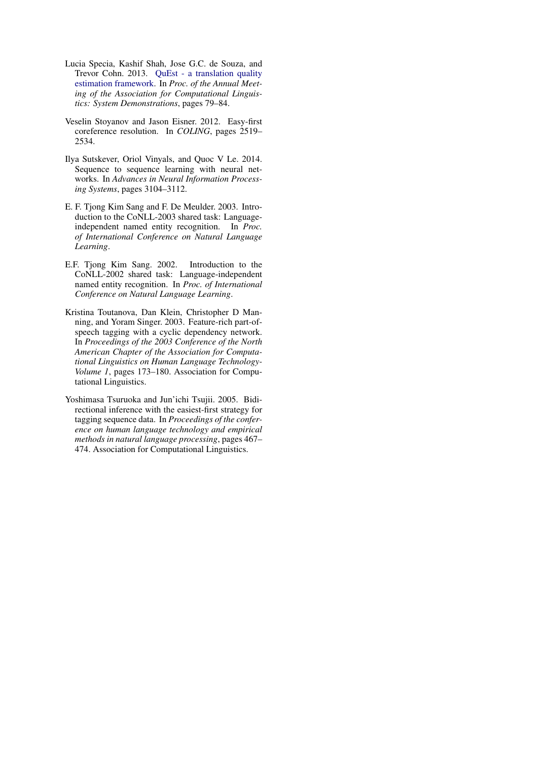- <span id="page-11-4"></span>Lucia Specia, Kashif Shah, Jose G.C. de Souza, and Trevor Cohn. 2013. [QuEst - a translation quality](http://www.aclweb.org/anthology/P13-4014) [estimation framework.](http://www.aclweb.org/anthology/P13-4014) In *Proc. of the Annual Meeting of the Association for Computational Linguistics: System Demonstrations*, pages 79–84.
- <span id="page-11-5"></span>Veselin Stoyanov and Jason Eisner. 2012. Easy-first coreference resolution. In *COLING*, pages 2519– 2534.
- <span id="page-11-0"></span>Ilya Sutskever, Oriol Vinyals, and Quoc V Le. 2014. Sequence to sequence learning with neural networks. In *Advances in Neural Information Processing Systems*, pages 3104–3112.
- <span id="page-11-3"></span>E. F. Tjong Kim Sang and F. De Meulder. 2003. Introduction to the CoNLL-2003 shared task: Languageindependent named entity recognition. In *Proc. of International Conference on Natural Language Learning*.
- <span id="page-11-2"></span>E.F. Tjong Kim Sang. 2002. Introduction to the CoNLL-2002 shared task: Language-independent named entity recognition. In *Proc. of International Conference on Natural Language Learning*.
- <span id="page-11-6"></span>Kristina Toutanova, Dan Klein, Christopher D Manning, and Yoram Singer. 2003. Feature-rich part-ofspeech tagging with a cyclic dependency network. In *Proceedings of the 2003 Conference of the North American Chapter of the Association for Computational Linguistics on Human Language Technology-Volume 1*, pages 173–180. Association for Computational Linguistics.
- <span id="page-11-1"></span>Yoshimasa Tsuruoka and Jun'ichi Tsujii. 2005. Bidirectional inference with the easiest-first strategy for tagging sequence data. In *Proceedings of the conference on human language technology and empirical methods in natural language processing*, pages 467– 474. Association for Computational Linguistics.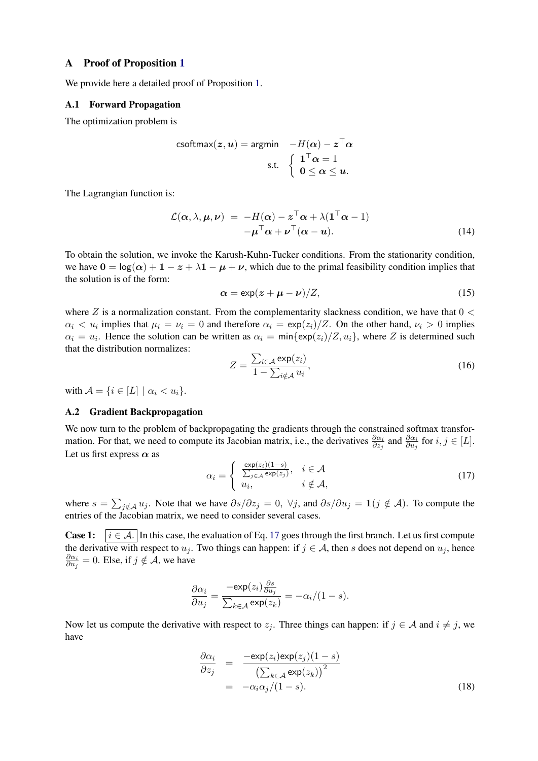### <span id="page-12-0"></span>A Proof of Proposition [1](#page-4-3)

We provide here a detailed proof of Proposition [1.](#page-4-3)

#### A.1 Forward Propagation

The optimization problem is

$$
\text{csoftmax}(z, u) = \text{argmin} \quad -H(\alpha) - z^{\top} \alpha
$$
\n
$$
\text{s.t.} \quad \left\{ \begin{array}{l} 1^{\top} \alpha = 1 \\ 0 \le \alpha \le u. \end{array} \right.
$$

The Lagrangian function is:

$$
\mathcal{L}(\alpha, \lambda, \mu, \nu) = -H(\alpha) - z^{\top} \alpha + \lambda (\mathbf{1}^{\top} \alpha - 1) \n- \mu^{\top} \alpha + \nu^{\top} (\alpha - u).
$$
\n(14)

To obtain the solution, we invoke the Karush-Kuhn-Tucker conditions. From the stationarity condition, we have  $0 = \log(\alpha) + 1 - z + \lambda 1 - \mu + \nu$ , which due to the primal feasibility condition implies that the solution is of the form:

$$
\alpha = \exp(z + \mu - \nu)/Z,\tag{15}
$$

where Z is a normalization constant. From the complementarity slackness condition, we have that  $0 \le$  $\alpha_i < u_i$  implies that  $\mu_i = \nu_i = 0$  and therefore  $\alpha_i = \exp(z_i)/Z$ . On the other hand,  $\nu_i > 0$  implies  $\alpha_i = u_i$ . Hence the solution can be written as  $\alpha_i = \min\{\exp(z_i)/Z, u_i\}$ , where Z is determined such that the distribution normalizes:

$$
Z = \frac{\sum_{i \in \mathcal{A}} \exp(z_i)}{1 - \sum_{i \notin \mathcal{A}} u_i},\tag{16}
$$

with  $\mathcal{A} = \{i \in [L] \mid \alpha_i < u_i\}.$ 

#### A.2 Gradient Backpropagation

We now turn to the problem of backpropagating the gradients through the constrained softmax transformation. For that, we need to compute its Jacobian matrix, i.e., the derivatives  $\frac{\partial \alpha_i}{\partial z_j}$  and  $\frac{\partial \alpha_i}{\partial u_j}$  for  $i, j \in [L]$ . Let us first express  $\alpha$  as

<span id="page-12-1"></span>
$$
\alpha_i = \begin{cases} \frac{\exp(z_i)(1-s)}{\sum_{j \in \mathcal{A}} \exp(z_j)}, & i \in \mathcal{A} \\ u_i, & i \notin \mathcal{A}, \end{cases}
$$
 (17)

where  $s = \sum_{j \notin A} u_j$ . Note that we have  $\partial s / \partial z_j = 0$ ,  $\forall j$ , and  $\partial s / \partial u_j = \mathbb{1}(j \notin A)$ . To compute the entries of the Jacobian matrix, we need to consider several cases.

**Case 1:**  $i \in \mathcal{A}$ . In this case, the evaluation of Eq. [17](#page-12-1) goes through the first branch. Let us first compute the derivative with respect to  $u_j$ . Two things can happen: if  $j \in A$ , then s does not depend on  $u_j$ , hence  $\partial \alpha_i$  $\frac{\partial \alpha_i}{\partial u_j} = 0$ . Else, if  $j \notin \mathcal{A}$ , we have

$$
\frac{\partial \alpha_i}{\partial u_j} = \frac{-\exp(z_i)\frac{\partial s}{\partial u_j}}{\sum_{k \in \mathcal{A}} \exp(z_k)} = -\alpha_i/(1-s).
$$

Now let us compute the derivative with respect to  $z_j$ . Three things can happen: if  $j \in A$  and  $i \neq j$ , we have

$$
\frac{\partial \alpha_i}{\partial z_j} = \frac{-\exp(z_i)\exp(z_j)(1-s)}{\left(\sum_{k \in \mathcal{A}} \exp(z_k)\right)^2} = -\alpha_i \alpha_j/(1-s).
$$
\n(18)